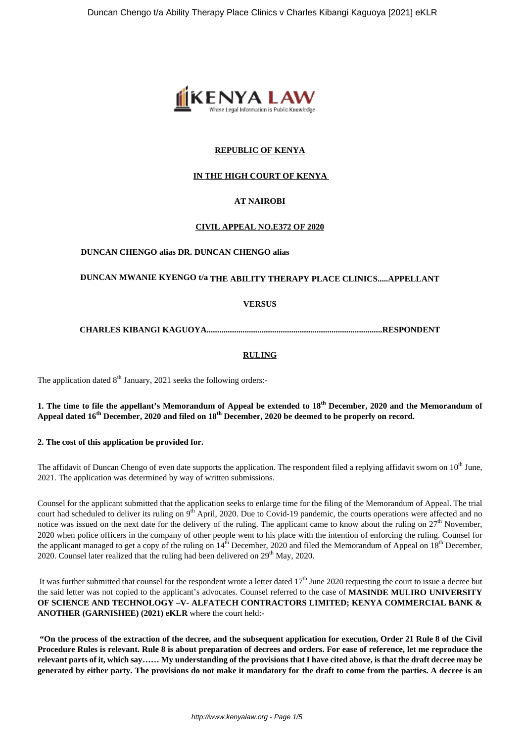

## **REPUBLIC OF KENYA**

## **IN THE HIGH COURT OF KENYA**

# **AT NAIROBI**

## **CIVIL APPEAL NO.E372 OF 2020**

#### **DUNCAN CHENGO alias DR. DUNCAN CHENGO alias**

## **DUNCAN MWANIE KYENGO t/a THE ABILITY THERAPY PLACE CLINICS.....APPELLANT**

## **VERSUS**

## **CHARLES KIBANGI KAGUOYA...................................................................................RESPONDENT**

## **RULING**

The application dated  $8<sup>th</sup>$  January, 2021 seeks the following orders:-

## **1. The time to file the appellant's Memorandum of Appeal be extended to 18th December, 2020 and the Memorandum of Appeal dated 16th December, 2020 and filed on 18th December, 2020 be deemed to be properly on record.**

#### **2. The cost of this application be provided for.**

The affidavit of Duncan Chengo of even date supports the application. The respondent filed a replying affidavit sworn on  $10<sup>th</sup>$  June, 2021. The application was determined by way of written submissions.

Counsel for the applicant submitted that the application seeks to enlarge time for the filing of the Memorandum of Appeal. The trial court had scheduled to deliver its ruling on 9<sup>th</sup> April, 2020. Due to Covid-19 pandemic, the courts operations were affected and no notice was issued on the next date for the delivery of the ruling. The applicant came to know about the ruling on 27<sup>th</sup> November, 2020 when police officers in the company of other people went to his place with the intention of enforcing the ruling. Counsel for the applicant managed to get a copy of the ruling on  $14^{\text{th}}$  December, 2020 and filed the Memorandum of Appeal on  $18^{\text{th}}$  December, 2020. Counsel later realized that the ruling had been delivered on  $29<sup>th</sup>$  May, 2020.

It was further submitted that counsel for the respondent wrote a letter dated  $17<sup>th</sup>$  June 2020 requesting the court to issue a decree but the said letter was not copied to the applicant's advocates. Counsel referred to the case of **MASINDE MULIRO UNIVERSITY OF SCIENCE AND TECHNOLOGY –V- ALFATECH CONTRACTORS LIMITED; KENYA COMMERCIAL BANK & ANOTHER (GARNISHEE) (2021) eKLR** where the court held:-

**"On the process of the extraction of the decree, and the subsequent application for execution, Order 21 Rule 8 of the Civil Procedure Rules is relevant. Rule 8 is about preparation of decrees and orders. For ease of reference, let me reproduce the relevant parts of it, which say…… My understanding of the provisions that I have cited above, is that the draft decree may be generated by either party. The provisions do not make it mandatory for the draft to come from the parties. A decree is an**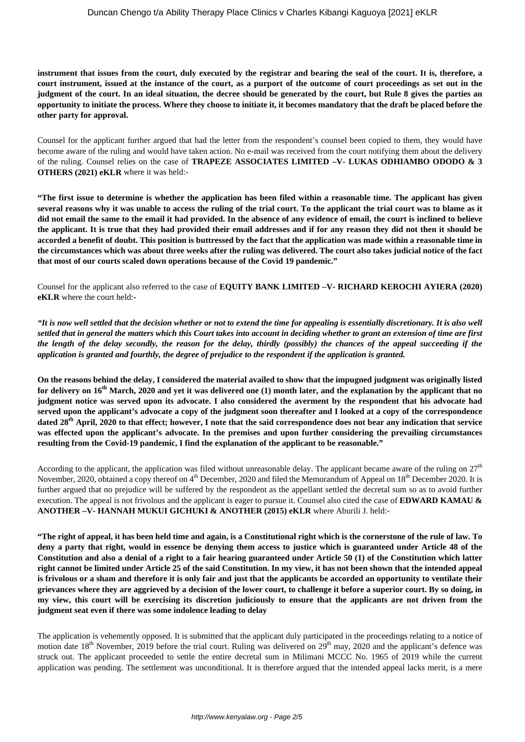**instrument that issues from the court, duly executed by the registrar and bearing the seal of the court. It is, therefore, a court instrument, issued at the instance of the court, as a purport of the outcome of court proceedings as set out in the judgment of the court. In an ideal situation, the decree should be generated by the court, but Rule 8 gives the parties an opportunity to initiate the process. Where they choose to initiate it, it becomes mandatory that the draft be placed before the other party for approval.**

Counsel for the applicant further argued that had the letter from the respondent's counsel been copied to them, they would have become aware of the ruling and would have taken action. No e-mail was received from the court notifying them about the delivery of the ruling. Counsel relies on the case of **TRAPEZE ASSOCIATES LIMITED –V- LUKAS ODHIAMBO ODODO & 3 OTHERS (2021) eKLR** where it was held:-

**"The first issue to determine is whether the application has been filed within a reasonable time. The applicant has given several reasons why it was unable to access the ruling of the trial court. To the applicant the trial court was to blame as it did not email the same to the email it had provided. In the absence of any evidence of email, the court is inclined to believe the applicant. It is true that they had provided their email addresses and if for any reason they did not then it should be accorded a benefit of doubt. This position is buttressed by the fact that the application was made within a reasonable time in the circumstances which was about three weeks after the ruling was delivered. The court also takes judicial notice of the fact that most of our courts scaled down operations because of the Covid 19 pandemic."**

Counsel for the applicant also referred to the case of **EQUITY BANK LIMITED –V- RICHARD KEROCHI AYIERA (2020) eKLR** where the court held:**-**

*"It is now well settled that the decision whether or not to extend the time for appealing is essentially discretionary. It is also well settled that in general the matters which this Court takes into account in deciding whether to grant an extension of time are first the length of the delay secondly, the reason for the delay, thirdly (possibly) the chances of the appeal succeeding if the application is granted and fourthly, the degree of prejudice to the respondent if the application is granted.*

**On the reasons behind the delay, I considered the material availed to show that the impugned judgment was originally listed for delivery on 16th March, 2020 and yet it was delivered one (1) month later, and the explanation by the applicant that no judgment notice was served upon its advocate. I also considered the averment by the respondent that his advocate had served upon the applicant's advocate a copy of the judgment soon thereafter and I looked at a copy of the correspondence dated 28th April, 2020 to that effect; however, I note that the said correspondence does not bear any indication that service was effected upon the applicant's advocate. In the premises and upon further considering the prevailing circumstances resulting from the Covid-19 pandemic, I find the explanation of the applicant to be reasonable."**

According to the applicant, the application was filed without unreasonable delay. The applicant became aware of the ruling on  $27<sup>th</sup>$ November, 2020, obtained a copy thereof on  $4<sup>th</sup>$  December, 2020 and filed the Memorandum of Appeal on  $18<sup>th</sup>$  December 2020. It is further argued that no prejudice will be suffered by the respondent as the appellant settled the decretal sum so as to avoid further execution. The appeal is not frivolous and the applicant is eager to pursue it. Counsel also cited the case of **EDWARD KAMAU & ANOTHER –V- HANNAH MUKUI GICHUKI & ANOTHER (2015) eKLR** where Aburili J. held:-

**"The right of appeal, it has been held time and again, is a Constitutional right which is the cornerstone of the rule of law. To deny a party that right, would in essence be denying them access to justice which is guaranteed under Article 48 of the Constitution and also a denial of a right to a fair hearing guaranteed under Article 50 (1) of the Constitution which latter right cannot be limited under Article 25 of the said Constitution. In my view, it has not been shown that the intended appeal is frivolous or a sham and therefore it is only fair and just that the applicants be accorded an opportunity to ventilate their grievances where they are aggrieved by a decision of the lower court, to challenge it before a superior court. By so doing, in my view, this court will be exercising its discretion judiciously to ensure that the applicants are not driven from the judgment seat even if there was some indolence leading to delay**

The application is vehemently opposed. It is submitted that the applicant duly participated in the proceedings relating to a notice of motion date 18<sup>th</sup> November, 2019 before the trial court. Ruling was delivered on 29<sup>th</sup> may, 2020 and the applicant's defence was struck out. The applicant proceeded to settle the entire decretal sum in Milimani MCCC No. 1965 of 2019 while the current application was pending. The settlement was unconditional. It is therefore argued that the intended appeal lacks merit, is a mere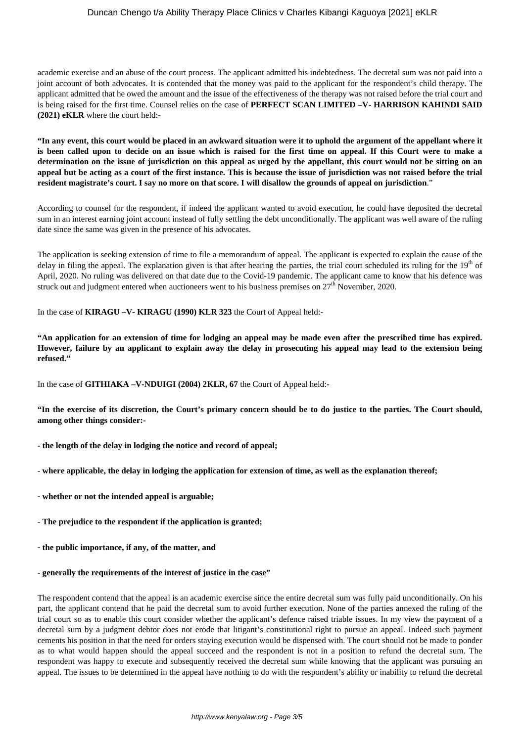### Duncan Chengo t/a Ability Therapy Place Clinics v Charles Kibangi Kaguoya [2021] eKLR

academic exercise and an abuse of the court process. The applicant admitted his indebtedness. The decretal sum was not paid into a joint account of both advocates. It is contended that the money was paid to the applicant for the respondent's child therapy. The applicant admitted that he owed the amount and the issue of the effectiveness of the therapy was not raised before the trial court and is being raised for the first time. Counsel relies on the case of **PERFECT SCAN LIMITED –V- HARRISON KAHINDI SAID (2021) eKLR** where the court held:-

**"In any event, this court would be placed in an awkward situation were it to uphold the argument of the appellant where it is been called upon to decide on an issue which is raised for the first time on appeal. If this Court were to make a determination on the issue of jurisdiction on this appeal as urged by the appellant, this court would not be sitting on an appeal but be acting as a court of the first instance. This is because the issue of jurisdiction was not raised before the trial resident magistrate's court. I say no more on that score. I will disallow the grounds of appeal on jurisdiction**."

According to counsel for the respondent, if indeed the applicant wanted to avoid execution, he could have deposited the decretal sum in an interest earning joint account instead of fully settling the debt unconditionally. The applicant was well aware of the ruling date since the same was given in the presence of his advocates.

The application is seeking extension of time to file a memorandum of appeal. The applicant is expected to explain the cause of the delay in filing the appeal. The explanation given is that after hearing the parties, the trial court scheduled its ruling for the  $19<sup>th</sup>$  of April, 2020. No ruling was delivered on that date due to the Covid-19 pandemic. The applicant came to know that his defence was struck out and judgment entered when auctioneers went to his business premises on  $27<sup>th</sup>$  November, 2020.

In the case of **KIRAGU –V- KIRAGU (1990) KLR 323** the Court of Appeal held:-

**"An application for an extension of time for lodging an appeal may be made even after the prescribed time has expired. However, failure by an applicant to explain away the delay in prosecuting his appeal may lead to the extension being refused."**

In the case of **GITHIAKA –V-NDUIGI (2004) 2KLR, 67** the Court of Appeal held:-

**"In the exercise of its discretion, the Court's primary concern should be to do justice to the parties. The Court should, among other things consider:-**

- **the length of the delay in lodging the notice and record of appeal;**
- **where applicable, the delay in lodging the application for extension of time, as well as the explanation thereof;**
- **whether or not the intended appeal is arguable;**
- **The prejudice to the respondent if the application is granted;**
- **the public importance, if any, of the matter, and**
- **generally the requirements of the interest of justice in the case"**

The respondent contend that the appeal is an academic exercise since the entire decretal sum was fully paid unconditionally. On his part, the applicant contend that he paid the decretal sum to avoid further execution. None of the parties annexed the ruling of the trial court so as to enable this court consider whether the applicant's defence raised triable issues. In my view the payment of a decretal sum by a judgment debtor does not erode that litigant's constitutional right to pursue an appeal. Indeed such payment cements his position in that the need for orders staying execution would be dispensed with. The court should not be made to ponder as to what would happen should the appeal succeed and the respondent is not in a position to refund the decretal sum. The respondent was happy to execute and subsequently received the decretal sum while knowing that the applicant was pursuing an appeal. The issues to be determined in the appeal have nothing to do with the respondent's ability or inability to refund the decretal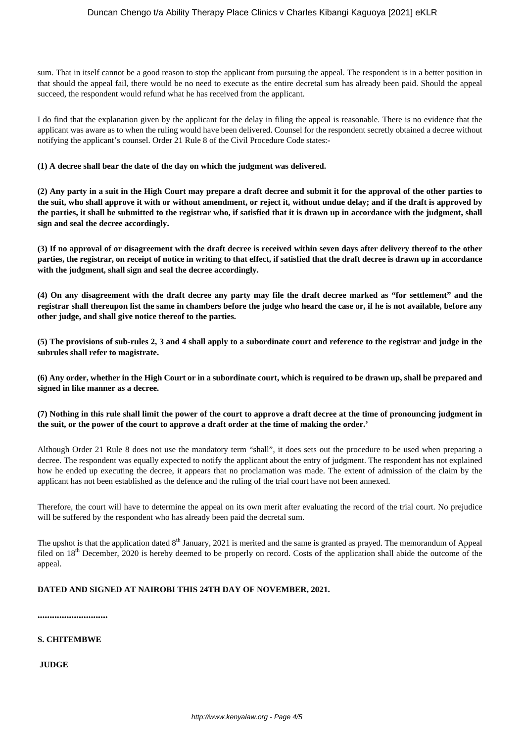sum. That in itself cannot be a good reason to stop the applicant from pursuing the appeal. The respondent is in a better position in that should the appeal fail, there would be no need to execute as the entire decretal sum has already been paid. Should the appeal succeed, the respondent would refund what he has received from the applicant.

I do find that the explanation given by the applicant for the delay in filing the appeal is reasonable. There is no evidence that the applicant was aware as to when the ruling would have been delivered. Counsel for the respondent secretly obtained a decree without notifying the applicant's counsel. Order 21 Rule 8 of the Civil Procedure Code states:-

#### **(1) A decree shall bear the date of the day on which the judgment was delivered.**

**(2) Any party in a suit in the High Court may prepare a draft decree and submit it for the approval of the other parties to the suit, who shall approve it with or without amendment, or reject it, without undue delay; and if the draft is approved by the parties, it shall be submitted to the registrar who, if satisfied that it is drawn up in accordance with the judgment, shall sign and seal the decree accordingly.**

**(3) If no approval of or disagreement with the draft decree is received within seven days after delivery thereof to the other parties, the registrar, on receipt of notice in writing to that effect, if satisfied that the draft decree is drawn up in accordance with the judgment, shall sign and seal the decree accordingly.**

**(4) On any disagreement with the draft decree any party may file the draft decree marked as "for settlement" and the registrar shall thereupon list the same in chambers before the judge who heard the case or, if he is not available, before any other judge, and shall give notice thereof to the parties.**

**(5) The provisions of sub-rules 2, 3 and 4 shall apply to a subordinate court and reference to the registrar and judge in the subrules shall refer to magistrate.**

**(6) Any order, whether in the High Court or in a subordinate court, which is required to be drawn up, shall be prepared and signed in like manner as a decree.**

**(7) Nothing in this rule shall limit the power of the court to approve a draft decree at the time of pronouncing judgment in the suit, or the power of the court to approve a draft order at the time of making the order.'**

Although Order 21 Rule 8 does not use the mandatory term "shall", it does sets out the procedure to be used when preparing a decree. The respondent was equally expected to notify the applicant about the entry of judgment. The respondent has not explained how he ended up executing the decree, it appears that no proclamation was made. The extent of admission of the claim by the applicant has not been established as the defence and the ruling of the trial court have not been annexed.

Therefore, the court will have to determine the appeal on its own merit after evaluating the record of the trial court. No prejudice will be suffered by the respondent who has already been paid the decretal sum.

The upshot is that the application dated 8<sup>th</sup> January, 2021 is merited and the same is granted as prayed. The memorandum of Appeal filed on 18<sup>th</sup> December, 2020 is hereby deemed to be properly on record. Costs of the application shall abide the outcome of the appeal.

#### **DATED AND SIGNED AT NAIROBI THIS 24TH DAY OF NOVEMBER, 2021.**

**.............................**

#### **S. CHITEMBWE**

**JUDGE**